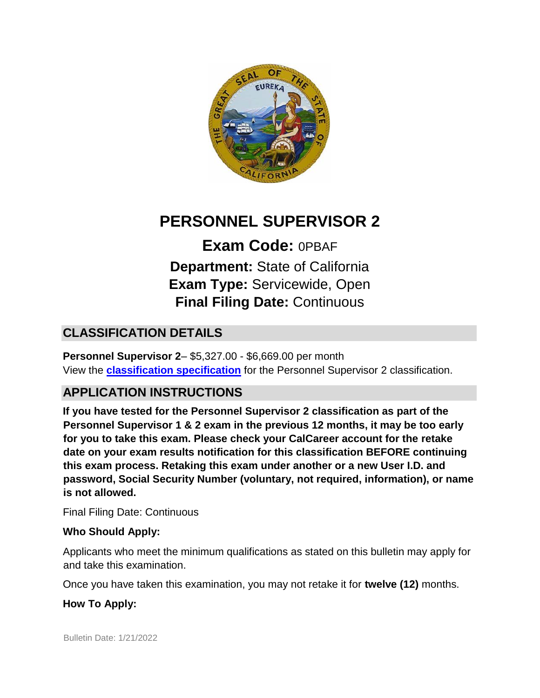

# **PERSONNEL SUPERVISOR 2**

**Exam Code:** 0PBAF **Department:** State of California **Exam Type:** Servicewide, Open **Final Filing Date:** Continuous

# **CLASSIFICATION DETAILS**

**Personnel Supervisor 2**– \$5,327.00 - \$6,669.00 per month View the **[classification specification](http://www.calhr.ca.gov/state-hr-professionals/Pages/1303.aspx)** for the Personnel Supervisor 2 classification.

# **APPLICATION INSTRUCTIONS**

**If you have tested for the Personnel Supervisor 2 classification as part of the Personnel Supervisor 1 & 2 exam in the previous 12 months, it may be too early for you to take this exam. Please check your CalCareer account for the retake date on your exam results notification for this classification BEFORE continuing this exam process. Retaking this exam under another or a new User I.D. and password, Social Security Number (voluntary, not required, information), or name is not allowed.**

Final Filing Date: Continuous

#### **Who Should Apply:**

Applicants who meet the minimum qualifications as stated on this bulletin may apply for and take this examination.

Once you have taken this examination, you may not retake it for **twelve (12)** months.

#### **How To Apply:**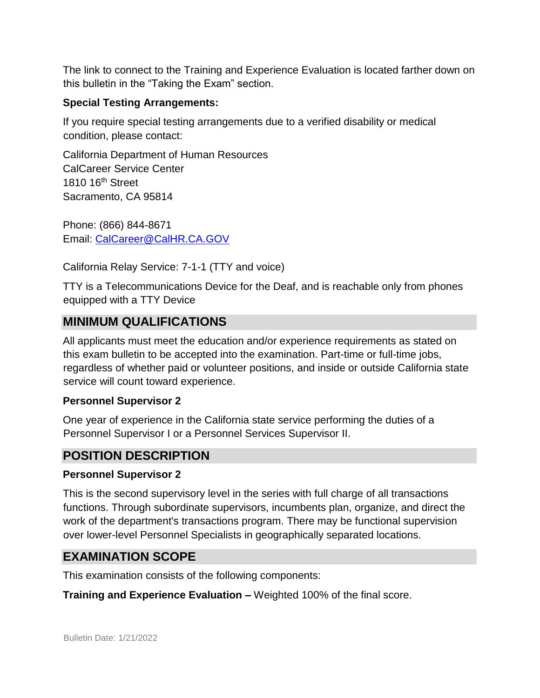The link to connect to the Training and Experience Evaluation is located farther down on this bulletin in the "Taking the Exam" section.

#### **Special Testing Arrangements:**

If you require special testing arrangements due to a verified disability or medical condition, please contact:

California Department of Human Resources CalCareer Service Center 1810 16<sup>th</sup> Street Sacramento, CA 95814

Phone: (866) 844-8671 Email: CalCareer@CalHR.CA.GOV

California Relay Service: 7-1-1 (TTY and voice)

TTY is a Telecommunications Device for the Deaf, and is reachable only from phones equipped with a TTY Device

### **MINIMUM QUALIFICATIONS**

All applicants must meet the education and/or experience requirements as stated on this exam bulletin to be accepted into the examination. Part-time or full-time jobs, regardless of whether paid or volunteer positions, and inside or outside California state service will count toward experience.

#### **Personnel Supervisor 2**

One year of experience in the California state service performing the duties of a Personnel Supervisor I or a Personnel Services Supervisor II.

### **POSITION DESCRIPTION**

#### **Personnel Supervisor 2**

This is the second supervisory level in the series with full charge of all transactions functions. Through subordinate supervisors, incumbents plan, organize, and direct the work of the department's transactions program. There may be functional supervision over lower-level Personnel Specialists in geographically separated locations.

### **EXAMINATION SCOPE**

This examination consists of the following components:

**Training and Experience Evaluation –** Weighted 100% of the final score.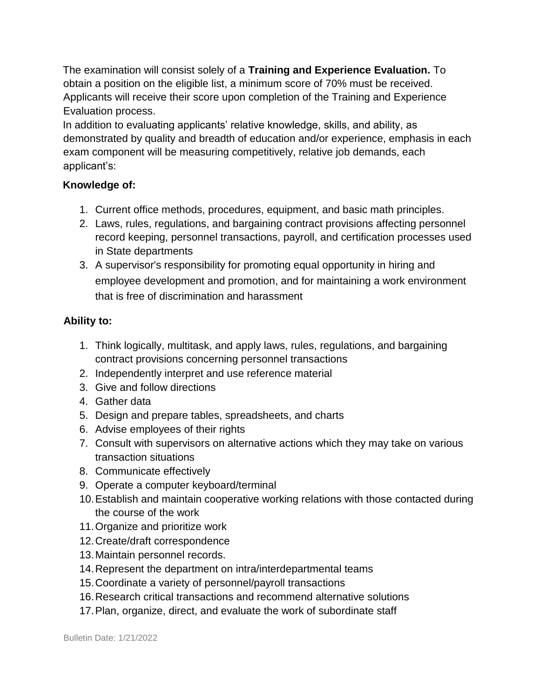The examination will consist solely of a **Training and Experience Evaluation.** To obtain a position on the eligible list, a minimum score of 70% must be received. Applicants will receive their score upon completion of the Training and Experience Evaluation process.

In addition to evaluating applicants' relative knowledge, skills, and ability, as demonstrated by quality and breadth of education and/or experience, emphasis in each exam component will be measuring competitively, relative job demands, each applicant's:

#### **Knowledge of:**

- 1. Current office methods, procedures, equipment, and basic math principles.
- 2. Laws, rules, regulations, and bargaining contract provisions affecting personnel record keeping, personnel transactions, payroll, and certification processes used in State departments
- 3. A supervisor's responsibility for promoting equal opportunity in hiring and employee development and promotion, and for maintaining a work environment that is free of discrimination and harassment

#### **Ability to:**

- 1. Think logically, multitask, and apply laws, rules, regulations, and bargaining contract provisions concerning personnel transactions
- 2. Independently interpret and use reference material
- 3. Give and follow directions
- 4. Gather data
- 5. Design and prepare tables, spreadsheets, and charts
- 6. Advise employees of their rights
- 7. Consult with supervisors on alternative actions which they may take on various transaction situations
- 8. Communicate effectively
- 9. Operate a computer keyboard/terminal
- 10.Establish and maintain cooperative working relations with those contacted during the course of the work
- 11.Organize and prioritize work
- 12.Create/draft correspondence
- 13.Maintain personnel records.
- 14.Represent the department on intra/interdepartmental teams
- 15.Coordinate a variety of personnel/payroll transactions
- 16.Research critical transactions and recommend alternative solutions
- 17.Plan, organize, direct, and evaluate the work of subordinate staff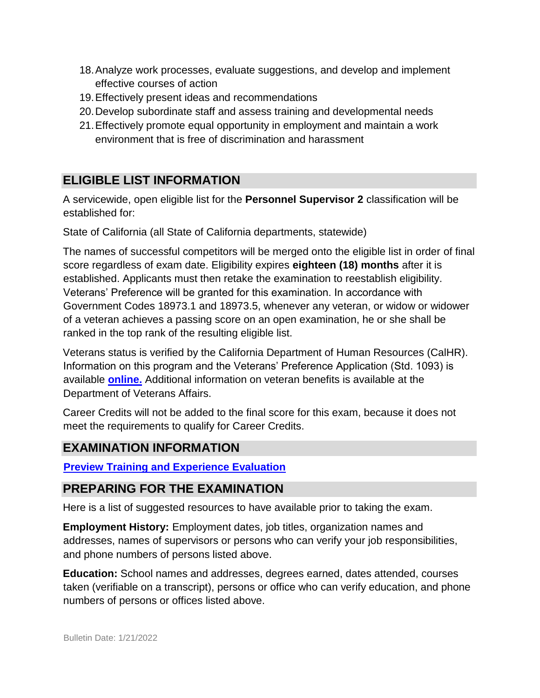- 18.Analyze work processes, evaluate suggestions, and develop and implement effective courses of action
- 19.Effectively present ideas and recommendations
- 20.Develop subordinate staff and assess training and developmental needs
- 21.Effectively promote equal opportunity in employment and maintain a work environment that is free of discrimination and harassment

# **ELIGIBLE LIST INFORMATION**

A servicewide, open eligible list for the **Personnel Supervisor 2** classification will be established for:

State of California (all State of California departments, statewide)

The names of successful competitors will be merged onto the eligible list in order of final score regardless of exam date. Eligibility expires **eighteen (18) months** after it is established. Applicants must then retake the examination to reestablish eligibility. Veterans' Preference will be granted for this examination. In accordance with Government Codes 18973.1 and 18973.5, whenever any veteran, or widow or widower of a veteran achieves a passing score on an open examination, he or she shall be ranked in the top rank of the resulting eligible list.

Veterans status is verified by the California Department of Human Resources (CalHR). Information on this program and the Veterans' Preference Application (Std. 1093) is available **[online.](https://www.jobs.ca.gov/CalHRPublic/Landing/Jobs/VeteransInformation.aspx)** [A](https://www.jobs.ca.gov/CalHRPublic/Landing/Jobs/VeteransInformation.aspx)dditional information on veteran benefits is available at the Department of Veterans Affairs.

Career Credits will not be added to the final score for this exam, because it does not meet the requirements to qualify for Career Credits.

### **EXAMINATION INFORMATION**

**[Preview Training and Experience Evaluation](https://jobs.ca.gov/jobsgen/0PBAFA.pdf)**

### **PREPARING FOR THE EXAMINATION**

Here is a list of suggested resources to have available prior to taking the exam.

**Employment History:** Employment dates, job titles, organization names and addresses, names of supervisors or persons who can verify your job responsibilities, and phone numbers of persons listed above.

**Education:** School names and addresses, degrees earned, dates attended, courses taken (verifiable on a transcript), persons or office who can verify education, and phone numbers of persons or offices listed above.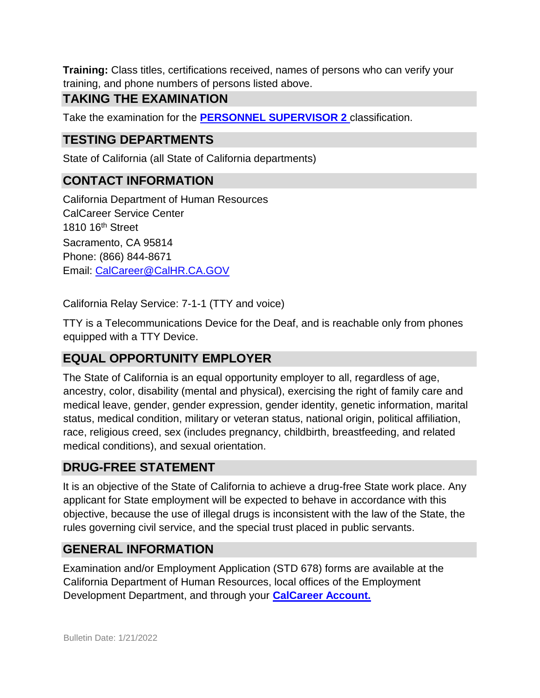**Training:** Class titles, certifications received, names of persons who can verify your training, and phone numbers of persons listed above.

### **TAKING THE EXAMINATION**

Take the examination for the **[PERSONNEL SUPERVISOR 2](https://www.jobs.ca.gov/Public/Login.aspx?ExamId=0PBAF)** [cl](https://www.jobs.ca.gov/Public/Login.aspx?ExamId=0PBAF)assification.

## **TESTING DEPARTMENTS**

State of California (all State of California departments)

### **CONTACT INFORMATION**

California Department of Human Resources CalCareer Service Center 1810 16th Street Sacramento, CA 95814 Phone: (866) 844-8671 Email: CalCareer@CalHR.CA.GOV

California Relay Service: 7-1-1 (TTY and voice)

TTY is a Telecommunications Device for the Deaf, and is reachable only from phones equipped with a TTY Device.

### **EQUAL OPPORTUNITY EMPLOYER**

The State of California is an equal opportunity employer to all, regardless of age, ancestry, color, disability (mental and physical), exercising the right of family care and medical leave, gender, gender expression, gender identity, genetic information, marital status, medical condition, military or veteran status, national origin, political affiliation, race, religious creed, sex (includes pregnancy, childbirth, breastfeeding, and related medical conditions), and sexual orientation.

### **DRUG-FREE STATEMENT**

It is an objective of the State of California to achieve a drug-free State work place. Any applicant for State employment will be expected to behave in accordance with this objective, because the use of illegal drugs is inconsistent with the law of the State, the rules governing civil service, and the special trust placed in public servants.

### **GENERAL INFORMATION**

Examination and/or Employment Application (STD 678) forms are available at the California Department of Human Resources, local offices of the Employment Development Department, and through your **[CalCareer Account.](http://www.jobs.ca.gov/)**